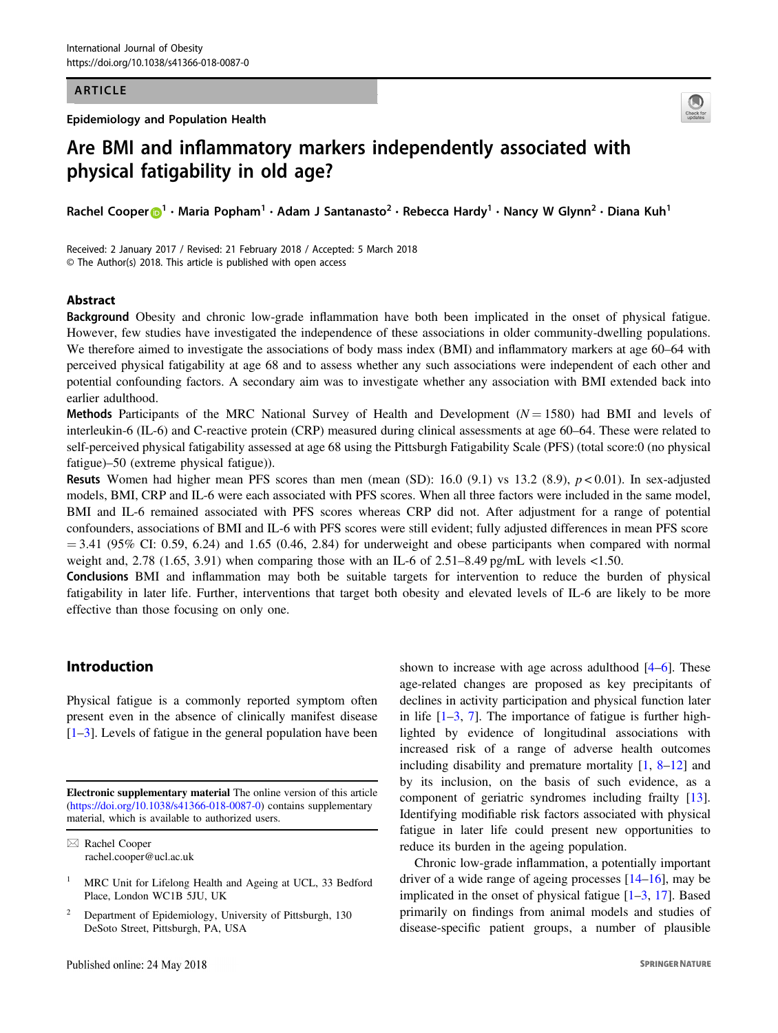### ARTICLE

Epidemiology and Population Health



# Are BMI and inflammatory markers independently associated with physical fatigability in old age?

Rachel Coope[r](http://orcid.org/0000-0003-3370-5720)  $\bigcirc^1 \cdot$  $\bigcirc^1 \cdot$  $\bigcirc^1 \cdot$  Maria Popham<sup>1</sup> • Adam J Santanasto<sup>2</sup> • Rebecca Hardy<sup>1</sup> • Nancy W Glynn<sup>2</sup> • Diana Kuh<sup>1</sup>

Received: 2 January 2017 / Revised: 21 February 2018 / Accepted: 5 March 2018 © The Author(s) 2018. This article is published with open access

## Abstract

Background Obesity and chronic low-grade inflammation have both been implicated in the onset of physical fatigue. However, few studies have investigated the independence of these associations in older community-dwelling populations. We therefore aimed to investigate the associations of body mass index (BMI) and inflammatory markers at age 60–64 with perceived physical fatigability at age 68 and to assess whether any such associations were independent of each other and potential confounding factors. A secondary aim was to investigate whether any association with BMI extended back into earlier adulthood.

Methods Participants of the MRC National Survey of Health and Development ( $N = 1580$ ) had BMI and levels of interleukin-6 (IL-6) and C-reactive protein (CRP) measured during clinical assessments at age 60–64. These were related to self-perceived physical fatigability assessed at age 68 using the Pittsburgh Fatigability Scale (PFS) (total score:0 (no physical fatigue)–50 (extreme physical fatigue)).

**Resuts** Women had higher mean PFS scores than men (mean (SD): 16.0 (9.1) vs 13.2 (8.9),  $p < 0.01$ ). In sex-adjusted models, BMI, CRP and IL-6 were each associated with PFS scores. When all three factors were included in the same model, BMI and IL-6 remained associated with PFS scores whereas CRP did not. After adjustment for a range of potential confounders, associations of BMI and IL-6 with PFS scores were still evident; fully adjusted differences in mean PFS score  $= 3.41$  (95% CI: 0.59, 6.24) and 1.65 (0.46, 2.84) for underweight and obese participants when compared with normal weight and, 2.78 (1.65, 3.91) when comparing those with an IL-6 of 2.51–8.49 pg/mL with levels  $\lt 1.50$ .

Conclusions BMI and inflammation may both be suitable targets for intervention to reduce the burden of physical fatigability in later life. Further, interventions that target both obesity and elevated levels of IL-6 are likely to be more effective than those focusing on only one.

# Introduction

Physical fatigue is a commonly reported symptom often present even in the absence of clinically manifest disease [\[1](#page-8-0)–[3](#page-8-0)]. Levels of fatigue in the general population have been

Electronic supplementary material The online version of this article ([https://doi.org/10.1038/s41366-018-0087-0\)](https://doi.org/10.1038/s41366-018-0087-0) contains supplementary material, which is available to authorized users.

shown to increase with age across adulthood [\[4](#page-8-0)–[6](#page-8-0)]. These age-related changes are proposed as key precipitants of declines in activity participation and physical function later in life  $[1-3, 7]$  $[1-3, 7]$  $[1-3, 7]$  $[1-3, 7]$  $[1-3, 7]$  $[1-3, 7]$ . The importance of fatigue is further highlighted by evidence of longitudinal associations with increased risk of a range of adverse health outcomes including disability and premature mortality [[1,](#page-8-0) [8](#page-8-0)–[12](#page-8-0)] and by its inclusion, on the basis of such evidence, as a component of geriatric syndromes including frailty [[13\]](#page-8-0). Identifying modifiable risk factors associated with physical fatigue in later life could present new opportunities to reduce its burden in the ageing population.

Chronic low-grade inflammation, a potentially important driver of a wide range of ageing processes [[14](#page-8-0)–[16](#page-8-0)], may be implicated in the onset of physical fatigue  $[1-3, 17]$  $[1-3, 17]$  $[1-3, 17]$  $[1-3, 17]$  $[1-3, 17]$  $[1-3, 17]$  $[1-3, 17]$ . Based primarily on findings from animal models and studies of disease-specific patient groups, a number of plausible

 $\boxtimes$  Rachel Cooper [rachel.cooper@ucl.ac.uk](mailto:rachel.cooper@ucl.ac.uk)

MRC Unit for Lifelong Health and Ageing at UCL, 33 Bedford Place, London WC1B 5JU, UK

<sup>2</sup> Department of Epidemiology, University of Pittsburgh, 130 DeSoto Street, Pittsburgh, PA, USA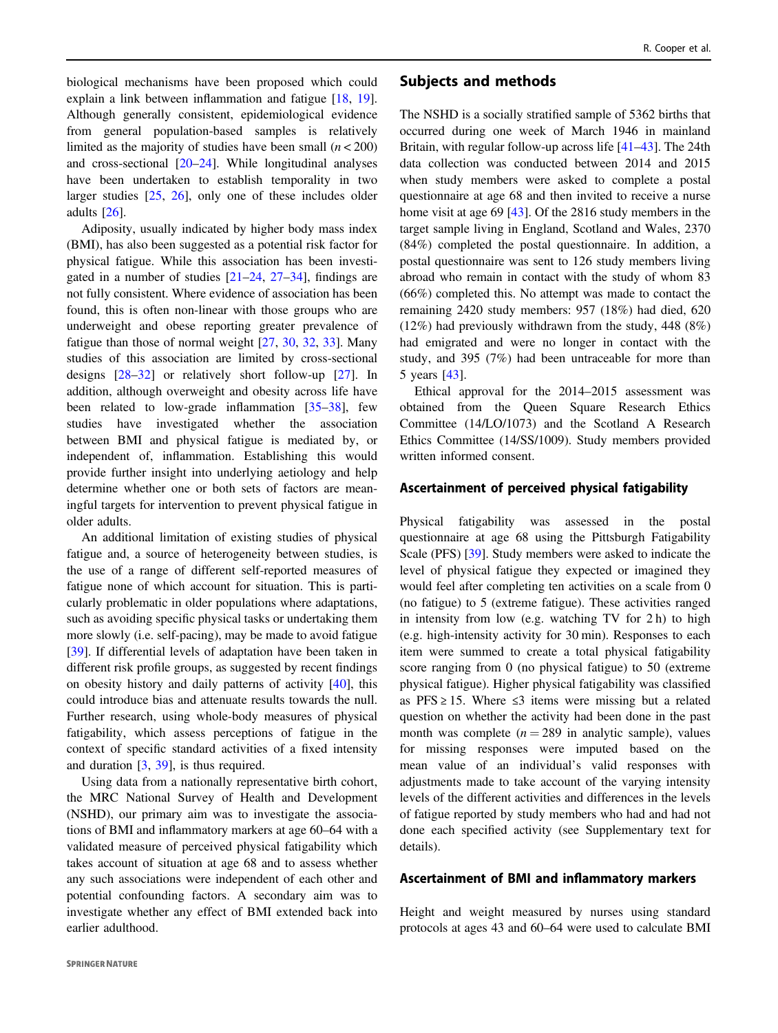biological mechanisms have been proposed which could explain a link between inflammation and fatigue [\[18](#page-8-0), [19](#page-8-0)]. Although generally consistent, epidemiological evidence from general population-based samples is relatively limited as the majority of studies have been small  $(n < 200)$ and cross-sectional [\[20](#page-8-0)–[24](#page-8-0)]. While longitudinal analyses have been undertaken to establish temporality in two larger studies [\[25](#page-8-0), [26](#page-8-0)], only one of these includes older adults [\[26](#page-8-0)].

Adiposity, usually indicated by higher body mass index (BMI), has also been suggested as a potential risk factor for physical fatigue. While this association has been investigated in a number of studies [[21](#page-8-0)–[24,](#page-8-0) [27](#page-8-0)–[34\]](#page-8-0), findings are not fully consistent. Where evidence of association has been found, this is often non-linear with those groups who are underweight and obese reporting greater prevalence of fatigue than those of normal weight [[27,](#page-8-0) [30](#page-8-0), [32,](#page-8-0) [33](#page-8-0)]. Many studies of this association are limited by cross-sectional designs [[28](#page-8-0)–[32](#page-8-0)] or relatively short follow-up [[27\]](#page-8-0). In addition, although overweight and obesity across life have been related to low-grade inflammation [\[35](#page-8-0)–[38](#page-9-0)], few studies have investigated whether the association between BMI and physical fatigue is mediated by, or independent of, inflammation. Establishing this would provide further insight into underlying aetiology and help determine whether one or both sets of factors are meaningful targets for intervention to prevent physical fatigue in older adults.

An additional limitation of existing studies of physical fatigue and, a source of heterogeneity between studies, is the use of a range of different self-reported measures of fatigue none of which account for situation. This is particularly problematic in older populations where adaptations, such as avoiding specific physical tasks or undertaking them more slowly (i.e. self-pacing), may be made to avoid fatigue [\[39](#page-9-0)]. If differential levels of adaptation have been taken in different risk profile groups, as suggested by recent findings on obesity history and daily patterns of activity [\[40](#page-9-0)], this could introduce bias and attenuate results towards the null. Further research, using whole-body measures of physical fatigability, which assess perceptions of fatigue in the context of specific standard activities of a fixed intensity and duration [\[3](#page-8-0), [39\]](#page-9-0), is thus required.

Using data from a nationally representative birth cohort, the MRC National Survey of Health and Development (NSHD), our primary aim was to investigate the associations of BMI and inflammatory markers at age 60–64 with a validated measure of perceived physical fatigability which takes account of situation at age 68 and to assess whether any such associations were independent of each other and potential confounding factors. A secondary aim was to investigate whether any effect of BMI extended back into earlier adulthood.

## Subjects and methods

The NSHD is a socially stratified sample of 5362 births that occurred during one week of March 1946 in mainland Britain, with regular follow-up across life [[41](#page-9-0)–[43\]](#page-9-0). The 24th data collection was conducted between 2014 and 2015 when study members were asked to complete a postal questionnaire at age 68 and then invited to receive a nurse home visit at age 69 [\[43](#page-9-0)]. Of the 2816 study members in the target sample living in England, Scotland and Wales, 2370 (84%) completed the postal questionnaire. In addition, a postal questionnaire was sent to 126 study members living abroad who remain in contact with the study of whom 83 (66%) completed this. No attempt was made to contact the remaining 2420 study members: 957 (18%) had died, 620 (12%) had previously withdrawn from the study, 448 (8%) had emigrated and were no longer in contact with the study, and 395 (7%) had been untraceable for more than 5 years [[43\]](#page-9-0).

Ethical approval for the 2014–2015 assessment was obtained from the Queen Square Research Ethics Committee (14/LO/1073) and the Scotland A Research Ethics Committee (14/SS/1009). Study members provided written informed consent.

### Ascertainment of perceived physical fatigability

Physical fatigability was assessed in the postal questionnaire at age 68 using the Pittsburgh Fatigability Scale (PFS) [[39\]](#page-9-0). Study members were asked to indicate the level of physical fatigue they expected or imagined they would feel after completing ten activities on a scale from 0 (no fatigue) to 5 (extreme fatigue). These activities ranged in intensity from low (e.g. watching TV for 2 h) to high (e.g. high-intensity activity for 30 min). Responses to each item were summed to create a total physical fatigability score ranging from 0 (no physical fatigue) to 50 (extreme physical fatigue). Higher physical fatigability was classified as PFS  $\ge$  15. Where  $\le$ 3 items were missing but a related question on whether the activity had been done in the past month was complete  $(n = 289$  in analytic sample), values for missing responses were imputed based on the mean value of an individual's valid responses with adjustments made to take account of the varying intensity levels of the different activities and differences in the levels of fatigue reported by study members who had and had not done each specified activity (see Supplementary text for details).

## Ascertainment of BMI and inflammatory markers

Height and weight measured by nurses using standard protocols at ages 43 and 60–64 were used to calculate BMI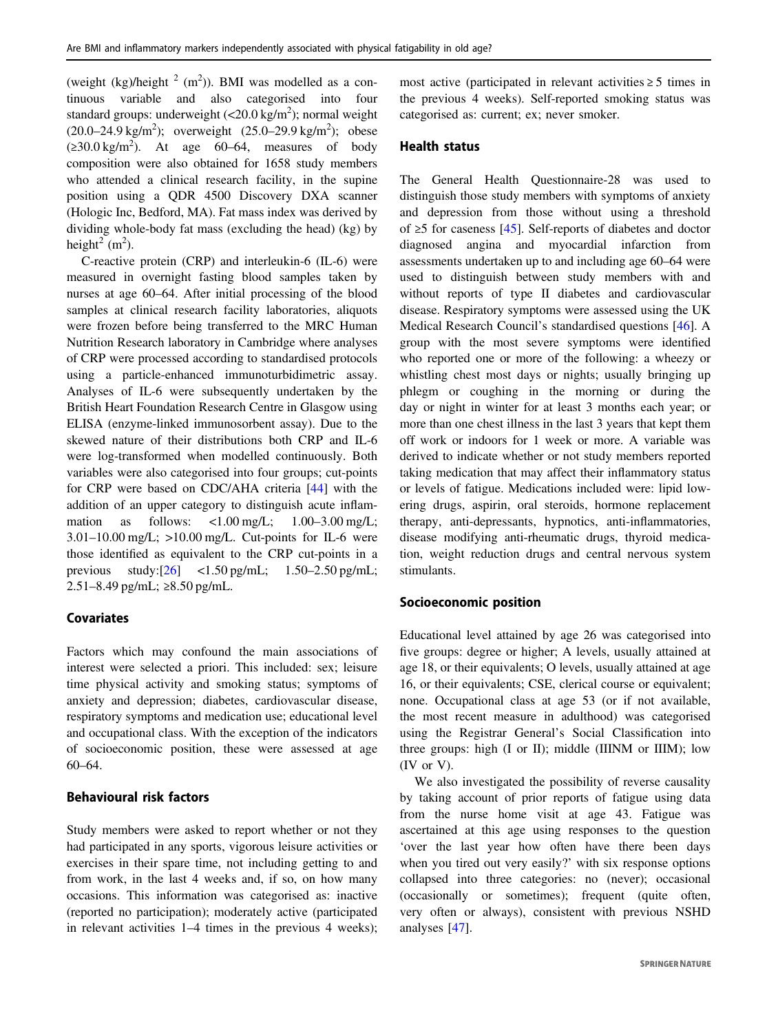(weight (kg)/height  $^2$  (m<sup>2</sup>)). BMI was modelled as a continuous variable and also categorised into four standard groups: underweight  $\left($  <20.0 kg/m<sup>2</sup> $\right)$ ; normal weight  $(20.0-24.9 \text{ kg/m}^2)$ ; overweight  $(25.0-29.9 \text{ kg/m}^2)$ ; obese  $(\geq 30.0 \text{ kg/m}^2)$ . At age 60–64, measures of body composition were also obtained for 1658 study members who attended a clinical research facility, in the supine position using a QDR 4500 Discovery DXA scanner (Hologic Inc, Bedford, MA). Fat mass index was derived by dividing whole-body fat mass (excluding the head) (kg) by height<sup>2</sup> (m<sup>2</sup>).

C-reactive protein (CRP) and interleukin-6 (IL-6) were measured in overnight fasting blood samples taken by nurses at age 60–64. After initial processing of the blood samples at clinical research facility laboratories, aliquots were frozen before being transferred to the MRC Human Nutrition Research laboratory in Cambridge where analyses of CRP were processed according to standardised protocols using a particle-enhanced immunoturbidimetric assay. Analyses of IL-6 were subsequently undertaken by the British Heart Foundation Research Centre in Glasgow using ELISA (enzyme-linked immunosorbent assay). Due to the skewed nature of their distributions both CRP and IL-6 were log-transformed when modelled continuously. Both variables were also categorised into four groups; cut-points for CRP were based on CDC/AHA criteria [[44\]](#page-9-0) with the addition of an upper category to distinguish acute inflammation as follows:  $\langle 1.00 \text{ mg/L}; 1.00-3.00 \text{ mg/L}}$ ;  $3.01-10.00$  mg/L;  $>10.00$  mg/L. Cut-points for IL-6 were those identified as equivalent to the CRP cut-points in a previous study:[\[26](#page-8-0)] <1.50 pg/mL; 1.50–2.50 pg/mL; 2.51–8.49 pg/mL; ≥8.50 pg/mL.

## Covariates

Factors which may confound the main associations of interest were selected a priori. This included: sex; leisure time physical activity and smoking status; symptoms of anxiety and depression; diabetes, cardiovascular disease, respiratory symptoms and medication use; educational level and occupational class. With the exception of the indicators of socioeconomic position, these were assessed at age 60–64.

# Behavioural risk factors

Study members were asked to report whether or not they had participated in any sports, vigorous leisure activities or exercises in their spare time, not including getting to and from work, in the last 4 weeks and, if so, on how many occasions. This information was categorised as: inactive (reported no participation); moderately active (participated in relevant activities 1–4 times in the previous 4 weeks); most active (participated in relevant activities  $\geq 5$  times in the previous 4 weeks). Self-reported smoking status was categorised as: current; ex; never smoker.

## Health status

The General Health Questionnaire-28 was used to distinguish those study members with symptoms of anxiety and depression from those without using a threshold of ≥5 for caseness [[45\]](#page-9-0). Self-reports of diabetes and doctor diagnosed angina and myocardial infarction from assessments undertaken up to and including age 60–64 were used to distinguish between study members with and without reports of type II diabetes and cardiovascular disease. Respiratory symptoms were assessed using the UK Medical Research Council's standardised questions [\[46](#page-9-0)]. A group with the most severe symptoms were identified who reported one or more of the following: a wheezy or whistling chest most days or nights; usually bringing up phlegm or coughing in the morning or during the day or night in winter for at least 3 months each year; or more than one chest illness in the last 3 years that kept them off work or indoors for 1 week or more. A variable was derived to indicate whether or not study members reported taking medication that may affect their inflammatory status or levels of fatigue. Medications included were: lipid lowering drugs, aspirin, oral steroids, hormone replacement therapy, anti-depressants, hypnotics, anti-inflammatories, disease modifying anti-rheumatic drugs, thyroid medication, weight reduction drugs and central nervous system stimulants.

#### Socioeconomic position

Educational level attained by age 26 was categorised into five groups: degree or higher; A levels, usually attained at age 18, or their equivalents; O levels, usually attained at age 16, or their equivalents; CSE, clerical course or equivalent; none. Occupational class at age 53 (or if not available, the most recent measure in adulthood) was categorised using the Registrar General's Social Classification into three groups: high (I or II); middle (IIINM or IIIM); low (IV or V).

We also investigated the possibility of reverse causality by taking account of prior reports of fatigue using data from the nurse home visit at age 43. Fatigue was ascertained at this age using responses to the question 'over the last year how often have there been days when you tired out very easily?' with six response options collapsed into three categories: no (never); occasional (occasionally or sometimes); frequent (quite often, very often or always), consistent with previous NSHD analyses [\[47](#page-9-0)].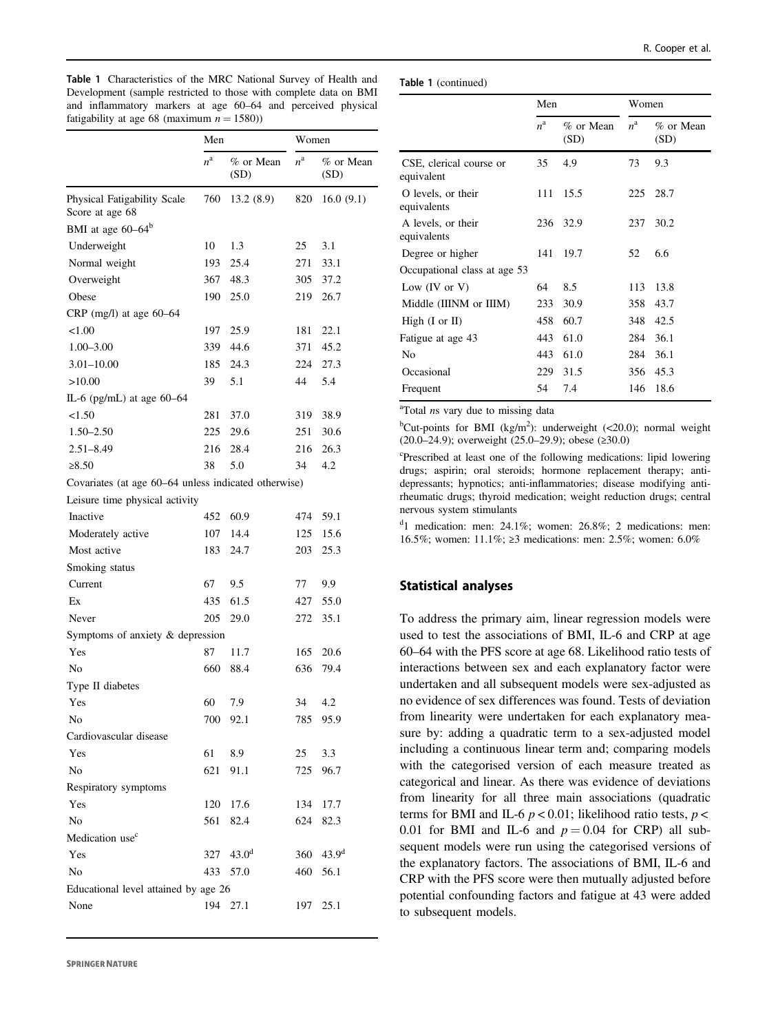<span id="page-3-0"></span>Table 1 Characteristics of the MRC National Survey of Health and Development (sample restricted to those with complete data on BMI and inflammatory markers at age 60–64 and perceived physical fatigability at age 68 (maximum  $n = 1580$ ))

|                                                      | Men         |                   | Women       |                   |
|------------------------------------------------------|-------------|-------------------|-------------|-------------------|
|                                                      | $n^{\rm a}$ | % or Mean<br>(SD) | $n^{\rm a}$ | % or Mean<br>(SD) |
| Physical Fatigability Scale                          | 760         | 13.2(8.9)         | 820         | 16.0(9.1)         |
| Score at age 68                                      |             |                   |             |                   |
| BMI at age 60–64 <sup>b</sup>                        |             |                   |             |                   |
| Underweight                                          | 10          | 1.3               | 25          | 3.1               |
| Normal weight                                        | 193         | 25.4              | 271         | 33.1              |
| Overweight                                           | 367         | 48.3              | 305         | 37.2              |
| Obese                                                | 190         | 25.0              | 219         | 26.7              |
| CRP (mg/l) at age $60-64$                            |             |                   |             |                   |
| < 1.00                                               | 197         | 25.9              | 181         | 22.1              |
| $1.00 - 3.00$                                        | 339         | 44.6              | 371         | 45.2              |
| $3.01 - 10.00$                                       | 185         | 24.3              | 224         | 27.3              |
| >10.00                                               | 39          | 5.1               | 44          | 5.4               |
| IL-6 (pg/mL) at age 60-64                            |             |                   |             |                   |
| < 1.50                                               | 281         | 37.0              | 319         | 38.9              |
| $1.50 - 2.50$                                        | 225         | 29.6              | 251         | 30.6              |
| $2.51 - 8.49$                                        | 216         | 28.4              | 216         | 26.3              |
| $\ge 8.50$                                           | 38          | 5.0               | 34          | 4.2               |
| Covariates (at age 60–64 unless indicated otherwise) |             |                   |             |                   |
| Leisure time physical activity                       |             |                   |             |                   |
| Inactive                                             | 452         | 60.9              | 474         | 59.1              |
| Moderately active                                    | 107         | 14.4              | 125         | 15.6              |
| Most active                                          | 183         | 24.7              | 203         | 25.3              |
| Smoking status                                       |             |                   |             |                   |
| Current                                              | 67          | 9.5               | 77          | 9.9               |
| Ex                                                   | 435         | 61.5              | 427         | 55.0              |
| Never                                                | 205         | 29.0              | 272         | 35.1              |
| Symptoms of anxiety & depression                     |             |                   |             |                   |
| Yes                                                  | 87          | 11.7              | 165         | 20.6              |
| No                                                   | 660         | 88.4              | 636         | 79.4              |
| Type II diabetes                                     |             |                   |             |                   |
| Yes                                                  | 60          | 7.9               | 34          | 4.2               |
| No                                                   | 700         | 92.1              | 785         | 95.9              |
| Cardiovascular disease                               |             |                   |             |                   |
| Yes                                                  | 61          | 8.9               | 25          | 3.3               |
| No                                                   | 621         | 91.1              | 725         | 96.7              |
| Respiratory symptoms                                 |             |                   |             |                   |
| Yes                                                  | 120         | 17.6              | 134         | 17.7              |
| No                                                   | 561         | 82.4              | 624         | 82.3              |
| Medication use <sup>c</sup>                          |             |                   |             |                   |
| Yes                                                  | 327         | 43.0 <sup>d</sup> | 360         | 43.9 <sup>d</sup> |
| N <sub>0</sub>                                       | 433         |                   |             |                   |
|                                                      |             | 57.0              | 460         | 56.1              |
| Educational level attained by age 26                 |             |                   |             |                   |
| None                                                 | 194         | 27.1              | 197         | 25.1              |

Table 1 (continued)

|                                       | Men         |                     | Women            |                      |
|---------------------------------------|-------------|---------------------|------------------|----------------------|
|                                       | $n^{\rm a}$ | $%$ or Mean<br>(SD) | $n^{\mathrm{a}}$ | $\%$ or Mean<br>(SD) |
| CSE, clerical course or<br>equivalent | 35          | 4.9                 | 73               | 9.3                  |
| O levels, or their<br>equivalents     | 111         | 15.5                | 225              | 28.7                 |
| A levels, or their<br>equivalents     | 236         | 32.9                | 237              | 30.2                 |
| Degree or higher                      | 141         | 19.7                | 52               | 6.6                  |
| Occupational class at age 53          |             |                     |                  |                      |
| Low $(IV \text{ or } V)$              | 64          | 8.5                 | 113              | 13.8                 |
| Middle (IIINM or IIIM)                | 233         | 30.9                | 358              | 43.7                 |
| High $(I \text{ or } II)$             | 458         | 60.7                | 348              | 42.5                 |
| Fatigue at age 43                     | 443         | 61.0                | 284              | 36.1                 |
| No                                    | 443         | 61.0                | 284              | 36.1                 |
| Occasional                            | 229         | 31.5                | 356              | 45.3                 |
| Frequent                              | 54          | 7.4                 | 146              | 18.6                 |

<sup>a</sup>Total ns vary due to missing data

<sup>b</sup>Cut-points for BMI (kg/m<sup>2</sup>): underweight (<20.0); normal weight (20.0–24.9); overweight (25.0–29.9); obese (≥30.0)

c Prescribed at least one of the following medications: lipid lowering drugs; aspirin; oral steroids; hormone replacement therapy; antidepressants; hypnotics; anti-inflammatories; disease modifying antirheumatic drugs; thyroid medication; weight reduction drugs; central nervous system stimulants

<sup>d</sup>1 medication: men: 24.1%; women: 26.8%; 2 medications: men: 16.5%; women: 11.1%; ≥3 medications: men: 2.5%; women: 6.0%

# Statistical analyses

To address the primary aim, linear regression models were used to test the associations of BMI, IL-6 and CRP at age 60–64 with the PFS score at age 68. Likelihood ratio tests of interactions between sex and each explanatory factor were undertaken and all subsequent models were sex-adjusted as no evidence of sex differences was found. Tests of deviation from linearity were undertaken for each explanatory measure by: adding a quadratic term to a sex-adjusted model including a continuous linear term and; comparing models with the categorised version of each measure treated as categorical and linear. As there was evidence of deviations from linearity for all three main associations (quadratic terms for BMI and IL-6  $p < 0.01$ ; likelihood ratio tests,  $p <$ 0.01 for BMI and IL-6 and  $p = 0.04$  for CRP) all subsequent models were run using the categorised versions of the explanatory factors. The associations of BMI, IL-6 and CRP with the PFS score were then mutually adjusted before potential confounding factors and fatigue at 43 were added to subsequent models.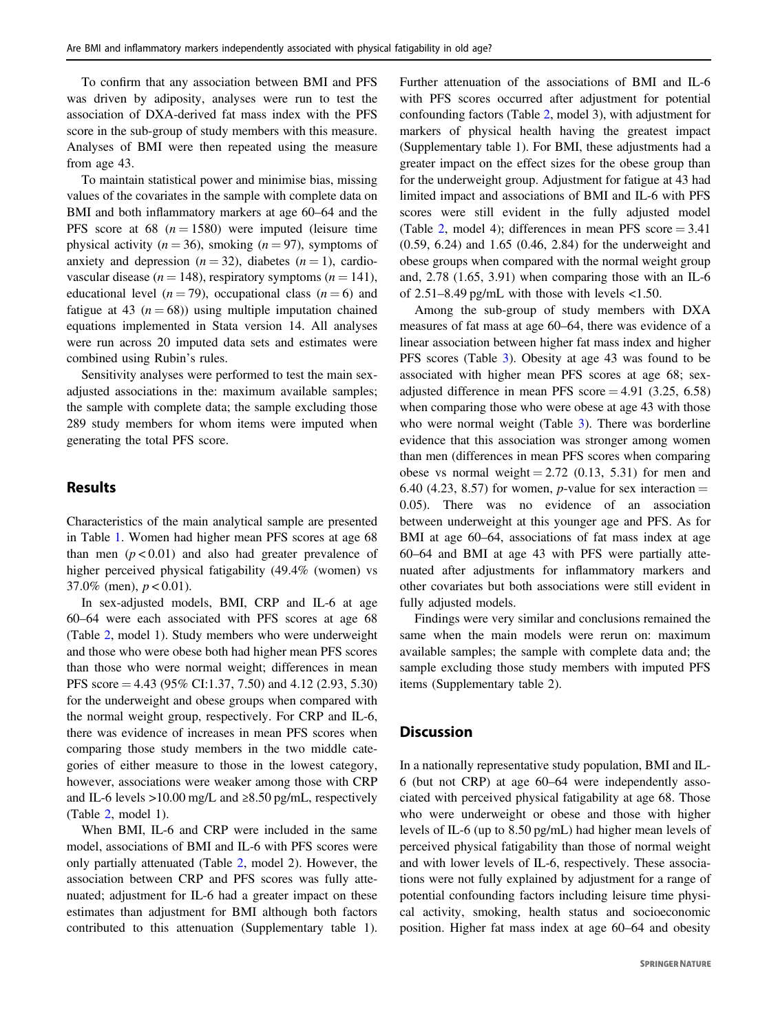To confirm that any association between BMI and PFS was driven by adiposity, analyses were run to test the association of DXA-derived fat mass index with the PFS score in the sub-group of study members with this measure. Analyses of BMI were then repeated using the measure from age 43.

To maintain statistical power and minimise bias, missing values of the covariates in the sample with complete data on BMI and both inflammatory markers at age 60–64 and the PFS score at 68  $(n = 1580)$  were imputed (leisure time physical activity ( $n = 36$ ), smoking ( $n = 97$ ), symptoms of anxiety and depression  $(n = 32)$ , diabetes  $(n = 1)$ , cardiovascular disease ( $n = 148$ ), respiratory symptoms ( $n = 141$ ), educational level ( $n = 79$ ), occupational class ( $n = 6$ ) and fatigue at 43 ( $n = 68$ )) using multiple imputation chained equations implemented in Stata version 14. All analyses were run across 20 imputed data sets and estimates were combined using Rubin's rules.

Sensitivity analyses were performed to test the main sexadjusted associations in the: maximum available samples; the sample with complete data; the sample excluding those 289 study members for whom items were imputed when generating the total PFS score.

## Results

Characteristics of the main analytical sample are presented in Table [1.](#page-3-0) Women had higher mean PFS scores at age 68 than men  $(p < 0.01)$  and also had greater prevalence of higher perceived physical fatigability (49.4% (women) vs 37.0% (men),  $p < 0.01$ ).

In sex-adjusted models, BMI, CRP and IL-6 at age 60–64 were each associated with PFS scores at age 68 (Table [2,](#page-5-0) model 1). Study members who were underweight and those who were obese both had higher mean PFS scores than those who were normal weight; differences in mean PFS score = 4.43 (95% CI:1.37, 7.50) and 4.12 (2.93, 5.30) for the underweight and obese groups when compared with the normal weight group, respectively. For CRP and IL-6, there was evidence of increases in mean PFS scores when comparing those study members in the two middle categories of either measure to those in the lowest category, however, associations were weaker among those with CRP and IL-6 levels >10.00 mg/L and  $\geq 8.50$  pg/mL, respectively (Table [2](#page-5-0), model 1).

When BMI, IL-6 and CRP were included in the same model, associations of BMI and IL-6 with PFS scores were only partially attenuated (Table [2,](#page-5-0) model 2). However, the association between CRP and PFS scores was fully attenuated; adjustment for IL-6 had a greater impact on these estimates than adjustment for BMI although both factors contributed to this attenuation (Supplementary table 1).

Further attenuation of the associations of BMI and IL-6 with PFS scores occurred after adjustment for potential confounding factors (Table [2](#page-5-0), model 3), with adjustment for markers of physical health having the greatest impact (Supplementary table 1). For BMI, these adjustments had a greater impact on the effect sizes for the obese group than for the underweight group. Adjustment for fatigue at 43 had limited impact and associations of BMI and IL-6 with PFS scores were still evident in the fully adjusted model (Table [2,](#page-5-0) model 4); differences in mean PFS score  $= 3.41$ (0.59, 6.24) and 1.65 (0.46, 2.84) for the underweight and obese groups when compared with the normal weight group and, 2.78 (1.65, 3.91) when comparing those with an IL-6 of  $2.51-8.49$  pg/mL with those with levels  $<1.50$ .

Among the sub-group of study members with DXA measures of fat mass at age 60–64, there was evidence of a linear association between higher fat mass index and higher PFS scores (Table [3\)](#page-6-0). Obesity at age 43 was found to be associated with higher mean PFS scores at age 68; sexadjusted difference in mean PFS score  $= 4.91$  (3.25, 6.58) when comparing those who were obese at age 43 with those who were normal weight (Table [3\)](#page-6-0). There was borderline evidence that this association was stronger among women than men (differences in mean PFS scores when comparing obese vs normal weight  $= 2.72$  (0.13, 5.31) for men and 6.40 (4.23, 8.57) for women, *p*-value for sex interaction  $=$ 0.05). There was no evidence of an association between underweight at this younger age and PFS. As for BMI at age 60–64, associations of fat mass index at age 60–64 and BMI at age 43 with PFS were partially attenuated after adjustments for inflammatory markers and other covariates but both associations were still evident in fully adjusted models.

Findings were very similar and conclusions remained the same when the main models were rerun on: maximum available samples; the sample with complete data and; the sample excluding those study members with imputed PFS items (Supplementary table 2).

## **Discussion**

In a nationally representative study population, BMI and IL-6 (but not CRP) at age 60–64 were independently associated with perceived physical fatigability at age 68. Those who were underweight or obese and those with higher levels of IL-6 (up to 8.50 pg/mL) had higher mean levels of perceived physical fatigability than those of normal weight and with lower levels of IL-6, respectively. These associations were not fully explained by adjustment for a range of potential confounding factors including leisure time physical activity, smoking, health status and socioeconomic position. Higher fat mass index at age 60–64 and obesity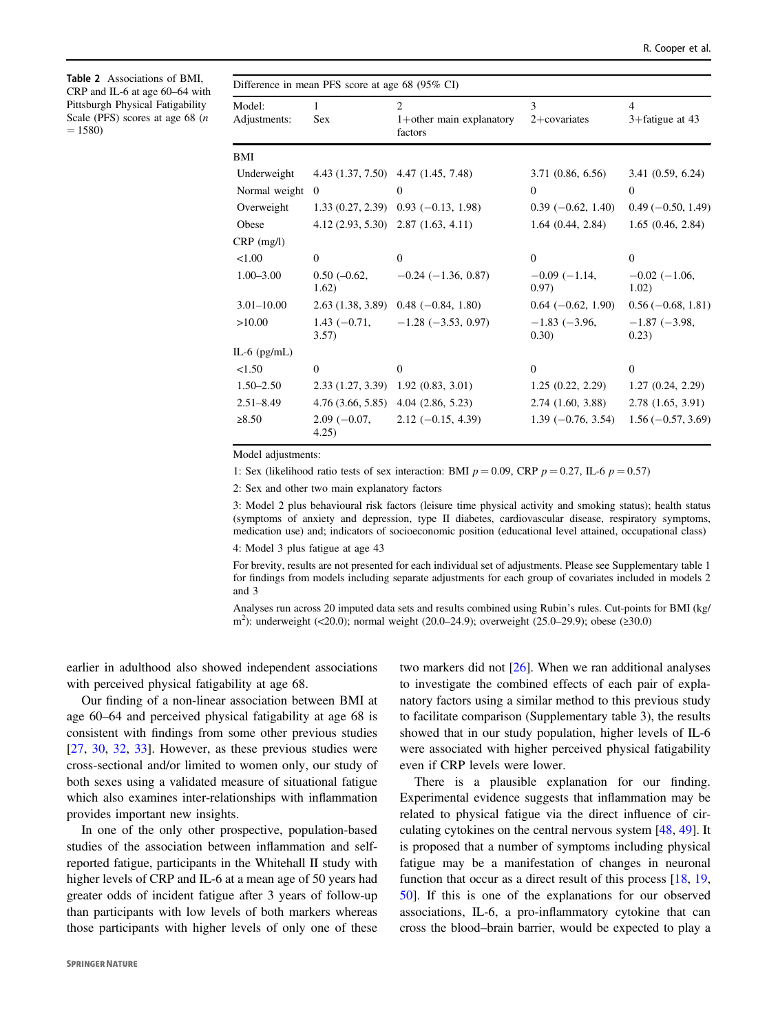<span id="page-5-0"></span>Table 2 Associations of BMI, CRP and IL-6 at age 60–64 with Pittsburgh Physical Fatigability Scale (PFS) scores at age 68 (n  $= 1580$ 

| Difference in mean PFS score at age 68 $(95\% \text{ CI})$ |  |  |  |  |  |  |  |  |  |  |
|------------------------------------------------------------|--|--|--|--|--|--|--|--|--|--|
|------------------------------------------------------------|--|--|--|--|--|--|--|--|--|--|

| Model:<br>Adjustments: | 1<br><b>Sex</b>         | $\overline{c}$<br>$1+$ other main explanatory | 3<br>$2+covariates$           | $\overline{4}$<br>$3 +$ fatigue at 43 |
|------------------------|-------------------------|-----------------------------------------------|-------------------------------|---------------------------------------|
|                        |                         | factors                                       |                               |                                       |
| BMI                    |                         |                                               |                               |                                       |
| Underweight            |                         | 4.43 (1.37, 7.50) 4.47 (1.45, 7.48)           | 3.71(0.86, 6.56)              | 3.41(0.59, 6.24)                      |
| Normal weight          | $\Omega$                | $\Omega$                                      | $\theta$                      | $\overline{0}$                        |
| Overweight             | 1.33(0.27, 2.39)        | $0.93(-0.13, 1.98)$                           | $0.39(-0.62, 1.40)$           | $0.49 (-0.50, 1.49)$                  |
| Obese                  |                         | $4.12(2.93, 5.30)$ $2.87(1.63, 4.11)$         | 1.64(0.44, 2.84)              | 1.65(0.46, 2.84)                      |
| $CRP$ (mg/l)           |                         |                                               |                               |                                       |
| 1.00                   | $\Omega$                | $\overline{0}$                                | $\theta$                      | $\theta$                              |
| $1.00 - 3.00$          | $0.50 (-0.62,$<br>1.62) | $-0.24$ ( $-1.36$ , 0.87)                     | $-0.09(-1.14,$<br>0.97)       | $-0.02$ ( $-1.06$ )<br>1.02)          |
| $3.01 - 10.00$         | 2.63(1.38, 3.89)        | $0.48$ (-0.84, 1.80)                          | $0.64(-0.62, 1.90)$           | $0.56 (-0.68, 1.81)$                  |
| >10.00                 | $1.43(-0.71,$<br>3.57)  | $-1.28$ ( $-3.53$ , 0.97)                     | $-1.83$ ( $-3.96$ )<br>(0.30) | $-1.87(-3.98,$<br>0.23)               |
| IL-6 $(pg/mL)$         |                         |                                               |                               |                                       |
| < 1.50                 | $\Omega$                | $\theta$                                      | $\Omega$                      | $\Omega$                              |
| $1.50 - 2.50$          | 2.33(1.27, 3.39)        | 1.92(0.83, 3.01)                              | 1.25(0.22, 2.29)              | 1.27(0.24, 2.29)                      |
| $2.51 - 8.49$          | 4.76(3.66, 5.85)        | 4.04(2.86, 5.23)                              | $2.74$ $(1.60, 3.88)$         | 2.78(1.65, 3.91)                      |
| $\ge 8.50$             | $2.09(-0.07,$<br>4.25)  | $2.12 (-0.15, 4.39)$                          | $1.39(-0.76, 3.54)$           | $1.56(-0.57, 3.69)$                   |

Model adjustments:

1: Sex (likelihood ratio tests of sex interaction: BMI  $p = 0.09$ , CRP  $p = 0.27$ , IL-6  $p = 0.57$ )

2: Sex and other two main explanatory factors

3: Model 2 plus behavioural risk factors (leisure time physical activity and smoking status); health status (symptoms of anxiety and depression, type II diabetes, cardiovascular disease, respiratory symptoms, medication use) and; indicators of socioeconomic position (educational level attained, occupational class)

4: Model 3 plus fatigue at age 43

For brevity, results are not presented for each individual set of adjustments. Please see Supplementary table 1 for findings from models including separate adjustments for each group of covariates included in models 2 and 3

Analyses run across 20 imputed data sets and results combined using Rubin's rules. Cut-points for BMI (kg/ m<sup>2</sup>): underweight (<20.0); normal weight (20.0–24.9); overweight (25.0–29.9); obese (≥30.0)

earlier in adulthood also showed independent associations with perceived physical fatigability at age 68.

Our finding of a non-linear association between BMI at age 60–64 and perceived physical fatigability at age 68 is consistent with findings from some other previous studies [\[27](#page-8-0), [30](#page-8-0), [32,](#page-8-0) [33\]](#page-8-0). However, as these previous studies were cross-sectional and/or limited to women only, our study of both sexes using a validated measure of situational fatigue which also examines inter-relationships with inflammation provides important new insights.

In one of the only other prospective, population-based studies of the association between inflammation and selfreported fatigue, participants in the Whitehall II study with higher levels of CRP and IL-6 at a mean age of 50 years had greater odds of incident fatigue after 3 years of follow-up than participants with low levels of both markers whereas those participants with higher levels of only one of these two markers did not [\[26](#page-8-0)]. When we ran additional analyses to investigate the combined effects of each pair of explanatory factors using a similar method to this previous study to facilitate comparison (Supplementary table 3), the results showed that in our study population, higher levels of IL-6 were associated with higher perceived physical fatigability even if CRP levels were lower.

There is a plausible explanation for our finding. Experimental evidence suggests that inflammation may be related to physical fatigue via the direct influence of circulating cytokines on the central nervous system [[48,](#page-9-0) [49](#page-9-0)]. It is proposed that a number of symptoms including physical fatigue may be a manifestation of changes in neuronal function that occur as a direct result of this process [\[18](#page-8-0), [19,](#page-8-0) [50](#page-9-0)]. If this is one of the explanations for our observed associations, IL-6, a pro-inflammatory cytokine that can cross the blood–brain barrier, would be expected to play a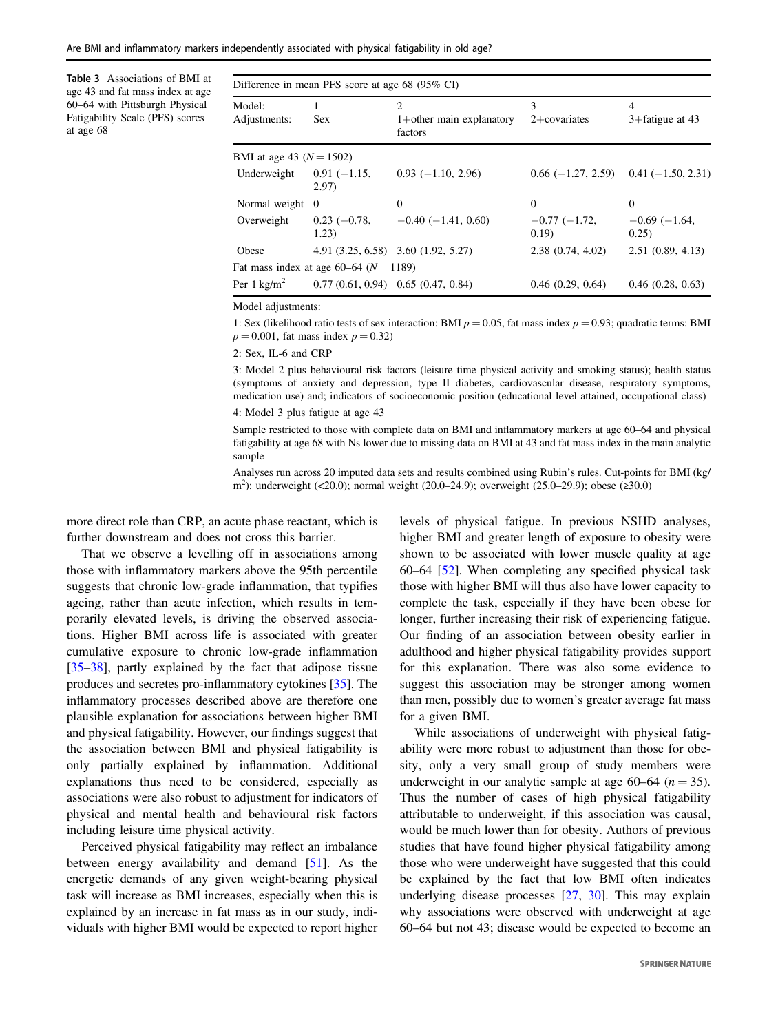<span id="page-6-0"></span>Are BMI and inflammatory markers independently associated with physical fatigability in old age?

Table 3 Associations of BMI at age 43 and fat mass index at age 60–64 with Pittsburgh Physical Fatigability Scale (PFS) scores at age 68

|                              | Difference in mean PFS score at age 68 (95% CI) |                                                          |                         |                              |  |
|------------------------------|-------------------------------------------------|----------------------------------------------------------|-------------------------|------------------------------|--|
| Model:<br>Adjustments:       | <b>Sex</b>                                      | $\overline{c}$<br>$1+$ other main explanatory<br>factors | 3<br>$2+covariates$     | 4<br>$3 +$ fatigue at 43     |  |
| BMI at age 43 ( $N = 1502$ ) |                                                 |                                                          |                         |                              |  |
| Underweight                  | $0.91(-1.15,$<br>2.97)                          | $0.93(-1.10, 2.96)$                                      | $0.66(-1.27, 2.59)$     | $0.41(-1.50, 2.31)$          |  |
| Normal weight                | $\Omega$                                        | $\Omega$                                                 | $\Omega$                | $\Omega$                     |  |
| Overweight                   | $0.23(-0.78,$<br>1.23)                          | $-0.40$ ( $-1.41$ , 0.60)                                | $-0.77(-1.72,$<br>0.19) | $-0.69$ ( $-1.64$ )<br>0.25) |  |
| Obese                        |                                                 | 4.91 (3.25, 6.58) 3.60 (1.92, 5.27)                      | 2.38(0.74, 4.02)        | 2.51(0.89, 4.13)             |  |
|                              | Fat mass index at age 60–64 ( $N = 1189$ )      |                                                          |                         |                              |  |
| Per $1 \text{ kg/m}^2$       |                                                 | $0.77(0.61, 0.94)$ 0.65 (0.47, 0.84)                     | 0.46(0.29, 0.64)        | 0.46(0.28, 0.63)             |  |

Model adjustments:

1: Sex (likelihood ratio tests of sex interaction: BMI  $p = 0.05$ , fat mass index  $p = 0.93$ ; quadratic terms: BMI  $p = 0.001$ , fat mass index  $p = 0.32$ )

2: Sex, IL-6 and CRP

3: Model 2 plus behavioural risk factors (leisure time physical activity and smoking status); health status (symptoms of anxiety and depression, type II diabetes, cardiovascular disease, respiratory symptoms, medication use) and; indicators of socioeconomic position (educational level attained, occupational class)

4: Model 3 plus fatigue at age 43

Sample restricted to those with complete data on BMI and inflammatory markers at age 60–64 and physical fatigability at age 68 with Ns lower due to missing data on BMI at 43 and fat mass index in the main analytic sample

Analyses run across 20 imputed data sets and results combined using Rubin's rules. Cut-points for BMI (kg/ m2 ): underweight (<20.0); normal weight (20.0–24.9); overweight (25.0–29.9); obese (≥30.0)

more direct role than CRP, an acute phase reactant, which is further downstream and does not cross this barrier.

That we observe a levelling off in associations among those with inflammatory markers above the 95th percentile suggests that chronic low-grade inflammation, that typifies ageing, rather than acute infection, which results in temporarily elevated levels, is driving the observed associations. Higher BMI across life is associated with greater cumulative exposure to chronic low-grade inflammation [\[35](#page-8-0)–[38](#page-9-0)], partly explained by the fact that adipose tissue produces and secretes pro-inflammatory cytokines [[35\]](#page-8-0). The inflammatory processes described above are therefore one plausible explanation for associations between higher BMI and physical fatigability. However, our findings suggest that the association between BMI and physical fatigability is only partially explained by inflammation. Additional explanations thus need to be considered, especially as associations were also robust to adjustment for indicators of physical and mental health and behavioural risk factors including leisure time physical activity.

Perceived physical fatigability may reflect an imbalance between energy availability and demand [\[51](#page-9-0)]. As the energetic demands of any given weight-bearing physical task will increase as BMI increases, especially when this is explained by an increase in fat mass as in our study, individuals with higher BMI would be expected to report higher levels of physical fatigue. In previous NSHD analyses, higher BMI and greater length of exposure to obesity were shown to be associated with lower muscle quality at age 60–64 [\[52](#page-9-0)]. When completing any specified physical task those with higher BMI will thus also have lower capacity to complete the task, especially if they have been obese for longer, further increasing their risk of experiencing fatigue. Our finding of an association between obesity earlier in adulthood and higher physical fatigability provides support for this explanation. There was also some evidence to suggest this association may be stronger among women than men, possibly due to women's greater average fat mass for a given BMI.

While associations of underweight with physical fatigability were more robust to adjustment than those for obesity, only a very small group of study members were underweight in our analytic sample at age 60–64 ( $n = 35$ ). Thus the number of cases of high physical fatigability attributable to underweight, if this association was causal, would be much lower than for obesity. Authors of previous studies that have found higher physical fatigability among those who were underweight have suggested that this could be explained by the fact that low BMI often indicates underlying disease processes [\[27](#page-8-0), [30](#page-8-0)]. This may explain why associations were observed with underweight at age 60–64 but not 43; disease would be expected to become an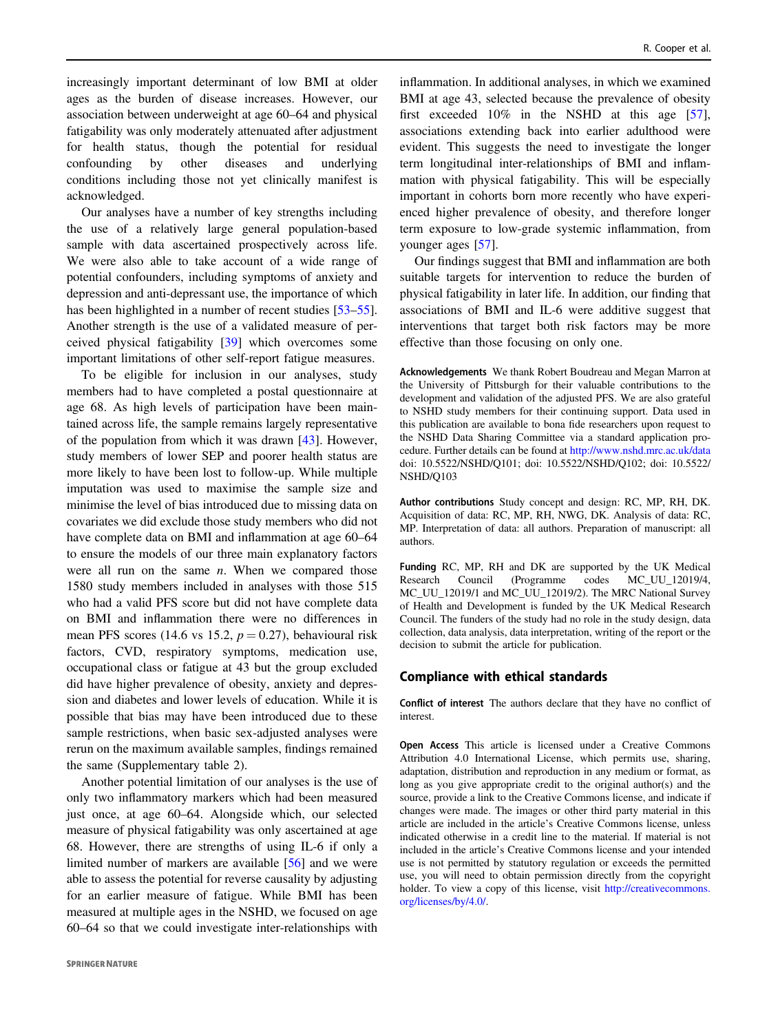increasingly important determinant of low BMI at older ages as the burden of disease increases. However, our association between underweight at age 60–64 and physical fatigability was only moderately attenuated after adjustment for health status, though the potential for residual confounding by other diseases and underlying conditions including those not yet clinically manifest is acknowledged.

Our analyses have a number of key strengths including the use of a relatively large general population-based sample with data ascertained prospectively across life. We were also able to take account of a wide range of potential confounders, including symptoms of anxiety and depression and anti-depressant use, the importance of which has been highlighted in a number of recent studies [\[53](#page-9-0)–[55](#page-9-0)]. Another strength is the use of a validated measure of perceived physical fatigability [\[39](#page-9-0)] which overcomes some important limitations of other self-report fatigue measures.

To be eligible for inclusion in our analyses, study members had to have completed a postal questionnaire at age 68. As high levels of participation have been maintained across life, the sample remains largely representative of the population from which it was drawn [\[43](#page-9-0)]. However, study members of lower SEP and poorer health status are more likely to have been lost to follow-up. While multiple imputation was used to maximise the sample size and minimise the level of bias introduced due to missing data on covariates we did exclude those study members who did not have complete data on BMI and inflammation at age 60–64 to ensure the models of our three main explanatory factors were all run on the same  $n$ . When we compared those 1580 study members included in analyses with those 515 who had a valid PFS score but did not have complete data on BMI and inflammation there were no differences in mean PFS scores (14.6 vs 15.2,  $p = 0.27$ ), behavioural risk factors, CVD, respiratory symptoms, medication use, occupational class or fatigue at 43 but the group excluded did have higher prevalence of obesity, anxiety and depression and diabetes and lower levels of education. While it is possible that bias may have been introduced due to these sample restrictions, when basic sex-adjusted analyses were rerun on the maximum available samples, findings remained the same (Supplementary table 2).

Another potential limitation of our analyses is the use of only two inflammatory markers which had been measured just once, at age 60–64. Alongside which, our selected measure of physical fatigability was only ascertained at age 68. However, there are strengths of using IL-6 if only a limited number of markers are available [[56\]](#page-9-0) and we were able to assess the potential for reverse causality by adjusting for an earlier measure of fatigue. While BMI has been measured at multiple ages in the NSHD, we focused on age 60–64 so that we could investigate inter-relationships with

inflammation. In additional analyses, in which we examined BMI at age 43, selected because the prevalence of obesity first exceeded 10% in the NSHD at this age [[57\]](#page-9-0), associations extending back into earlier adulthood were evident. This suggests the need to investigate the longer term longitudinal inter-relationships of BMI and inflammation with physical fatigability. This will be especially important in cohorts born more recently who have experienced higher prevalence of obesity, and therefore longer term exposure to low-grade systemic inflammation, from younger ages [\[57](#page-9-0)].

Our findings suggest that BMI and inflammation are both suitable targets for intervention to reduce the burden of physical fatigability in later life. In addition, our finding that associations of BMI and IL-6 were additive suggest that interventions that target both risk factors may be more effective than those focusing on only one.

Acknowledgements We thank Robert Boudreau and Megan Marron at the University of Pittsburgh for their valuable contributions to the development and validation of the adjusted PFS. We are also grateful to NSHD study members for their continuing support. Data used in this publication are available to bona fide researchers upon request to the NSHD Data Sharing Committee via a standard application procedure. Further details can be found at <http://www.nshd.mrc.ac.uk/data> doi: 10.5522/NSHD/Q101; doi: 10.5522/NSHD/Q102; doi: 10.5522/ NSHD/Q103

Author contributions Study concept and design: RC, MP, RH, DK. Acquisition of data: RC, MP, RH, NWG, DK. Analysis of data: RC, MP. Interpretation of data: all authors. Preparation of manuscript: all authors.

Funding RC, MP, RH and DK are supported by the UK Medical Research Council (Programme codes MC\_UU\_12019/4, MC\_UU\_12019/1 and MC\_UU\_12019/2). The MRC National Survey of Health and Development is funded by the UK Medical Research Council. The funders of the study had no role in the study design, data collection, data analysis, data interpretation, writing of the report or the decision to submit the article for publication.

#### Compliance with ethical standards

Conflict of interest The authors declare that they have no conflict of interest.

Open Access This article is licensed under a Creative Commons Attribution 4.0 International License, which permits use, sharing, adaptation, distribution and reproduction in any medium or format, as long as you give appropriate credit to the original author(s) and the source, provide a link to the Creative Commons license, and indicate if changes were made. The images or other third party material in this article are included in the article's Creative Commons license, unless indicated otherwise in a credit line to the material. If material is not included in the article's Creative Commons license and your intended use is not permitted by statutory regulation or exceeds the permitted use, you will need to obtain permission directly from the copyright holder. To view a copy of this license, visit [http://creativecommons.](http://creativecommons.org/licenses/by/4.0/) [org/licenses/by/4.0/](http://creativecommons.org/licenses/by/4.0/).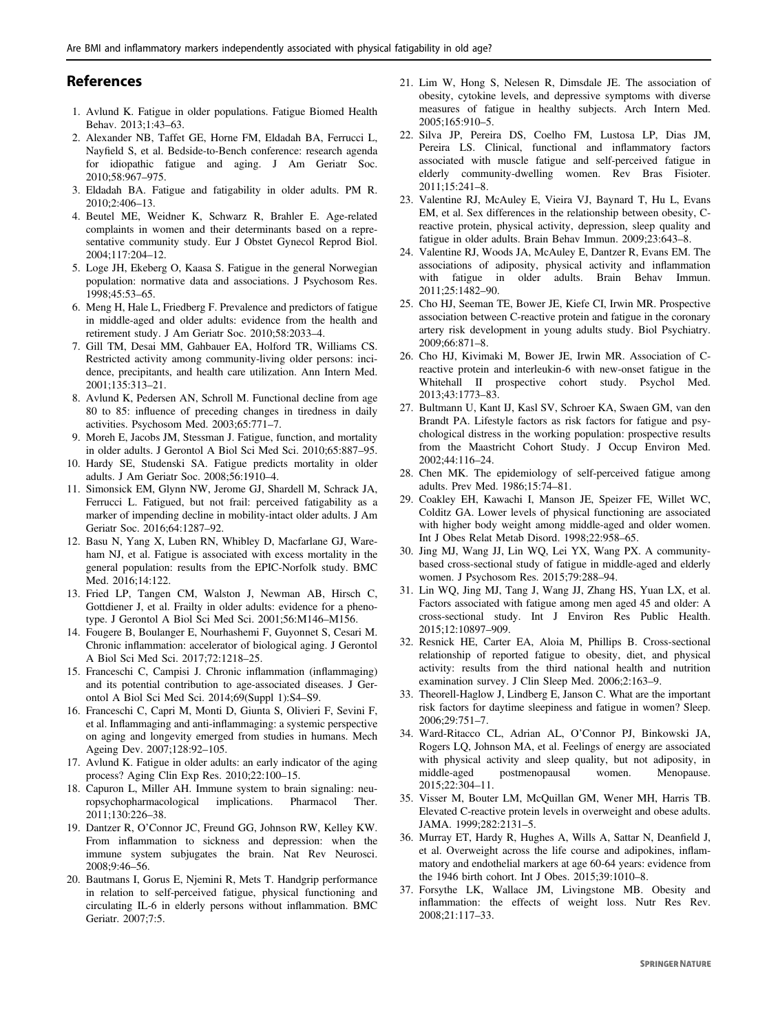## <span id="page-8-0"></span>References

- 1. Avlund K. Fatigue in older populations. Fatigue Biomed Health Behav. 2013;1:43–63.
- 2. Alexander NB, Taffet GE, Horne FM, Eldadah BA, Ferrucci L, Nayfield S, et al. Bedside-to-Bench conference: research agenda for idiopathic fatigue and aging. J Am Geriatr Soc. 2010;58:967–975.
- 3. Eldadah BA. Fatigue and fatigability in older adults. PM R. 2010;2:406–13.
- 4. Beutel ME, Weidner K, Schwarz R, Brahler E. Age-related complaints in women and their determinants based on a representative community study. Eur J Obstet Gynecol Reprod Biol. 2004;117:204–12.
- 5. Loge JH, Ekeberg O, Kaasa S. Fatigue in the general Norwegian population: normative data and associations. J Psychosom Res. 1998;45:53–65.
- 6. Meng H, Hale L, Friedberg F. Prevalence and predictors of fatigue in middle-aged and older adults: evidence from the health and retirement study. J Am Geriatr Soc. 2010;58:2033–4.
- 7. Gill TM, Desai MM, Gahbauer EA, Holford TR, Williams CS. Restricted activity among community-living older persons: incidence, precipitants, and health care utilization. Ann Intern Med. 2001;135:313–21.
- 8. Avlund K, Pedersen AN, Schroll M. Functional decline from age 80 to 85: influence of preceding changes in tiredness in daily activities. Psychosom Med. 2003;65:771–7.
- 9. Moreh E, Jacobs JM, Stessman J. Fatigue, function, and mortality in older adults. J Gerontol A Biol Sci Med Sci. 2010;65:887–95.
- 10. Hardy SE, Studenski SA. Fatigue predicts mortality in older adults. J Am Geriatr Soc. 2008;56:1910–4.
- 11. Simonsick EM, Glynn NW, Jerome GJ, Shardell M, Schrack JA, Ferrucci L. Fatigued, but not frail: perceived fatigability as a marker of impending decline in mobility-intact older adults. J Am Geriatr Soc. 2016;64:1287–92.
- 12. Basu N, Yang X, Luben RN, Whibley D, Macfarlane GJ, Wareham NJ, et al. Fatigue is associated with excess mortality in the general population: results from the EPIC-Norfolk study. BMC Med. 2016;14:122.
- 13. Fried LP, Tangen CM, Walston J, Newman AB, Hirsch C, Gottdiener J, et al. Frailty in older adults: evidence for a phenotype. J Gerontol A Biol Sci Med Sci. 2001;56:M146–M156.
- 14. Fougere B, Boulanger E, Nourhashemi F, Guyonnet S, Cesari M. Chronic inflammation: accelerator of biological aging. J Gerontol A Biol Sci Med Sci. 2017;72:1218–25.
- 15. Franceschi C, Campisi J. Chronic inflammation (inflammaging) and its potential contribution to age-associated diseases. J Gerontol A Biol Sci Med Sci. 2014;69(Suppl 1):S4–S9.
- 16. Franceschi C, Capri M, Monti D, Giunta S, Olivieri F, Sevini F, et al. Inflammaging and anti-inflammaging: a systemic perspective on aging and longevity emerged from studies in humans. Mech Ageing Dev. 2007;128:92–105.
- 17. Avlund K. Fatigue in older adults: an early indicator of the aging process? Aging Clin Exp Res. 2010;22:100–15.
- 18. Capuron L, Miller AH. Immune system to brain signaling: neuropsychopharmacological implications. Pharmacol Ther. 2011;130:226–38.
- 19. Dantzer R, O'Connor JC, Freund GG, Johnson RW, Kelley KW. From inflammation to sickness and depression: when the immune system subjugates the brain. Nat Rev Neurosci. 2008;9:46–56.
- 20. Bautmans I, Gorus E, Njemini R, Mets T. Handgrip performance in relation to self-perceived fatigue, physical functioning and circulating IL-6 in elderly persons without inflammation. BMC Geriatr. 2007;7:5.
- 21. Lim W, Hong S, Nelesen R, Dimsdale JE. The association of obesity, cytokine levels, and depressive symptoms with diverse measures of fatigue in healthy subjects. Arch Intern Med. 2005;165:910–5.
- 22. Silva JP, Pereira DS, Coelho FM, Lustosa LP, Dias JM, Pereira LS. Clinical, functional and inflammatory factors associated with muscle fatigue and self-perceived fatigue in elderly community-dwelling women. Rev Bras Fisioter. 2011;15:241–8.
- 23. Valentine RJ, McAuley E, Vieira VJ, Baynard T, Hu L, Evans EM, et al. Sex differences in the relationship between obesity, Creactive protein, physical activity, depression, sleep quality and fatigue in older adults. Brain Behav Immun. 2009;23:643–8.
- 24. Valentine RJ, Woods JA, McAuley E, Dantzer R, Evans EM. The associations of adiposity, physical activity and inflammation with fatigue in older adults. Brain Behav Immun. 2011;25:1482–90.
- 25. Cho HJ, Seeman TE, Bower JE, Kiefe CI, Irwin MR. Prospective association between C-reactive protein and fatigue in the coronary artery risk development in young adults study. Biol Psychiatry. 2009;66:871–8.
- 26. Cho HJ, Kivimaki M, Bower JE, Irwin MR. Association of Creactive protein and interleukin-6 with new-onset fatigue in the Whitehall II prospective cohort study. Psychol Med. 2013;43:1773–83.
- 27. Bultmann U, Kant IJ, Kasl SV, Schroer KA, Swaen GM, van den Brandt PA. Lifestyle factors as risk factors for fatigue and psychological distress in the working population: prospective results from the Maastricht Cohort Study. J Occup Environ Med. 2002;44:116–24.
- 28. Chen MK. The epidemiology of self-perceived fatigue among adults. Prev Med. 1986;15:74–81.
- 29. Coakley EH, Kawachi I, Manson JE, Speizer FE, Willet WC, Colditz GA. Lower levels of physical functioning are associated with higher body weight among middle-aged and older women. Int J Obes Relat Metab Disord. 1998;22:958–65.
- 30. Jing MJ, Wang JJ, Lin WQ, Lei YX, Wang PX. A communitybased cross-sectional study of fatigue in middle-aged and elderly women. J Psychosom Res. 2015;79:288–94.
- 31. Lin WQ, Jing MJ, Tang J, Wang JJ, Zhang HS, Yuan LX, et al. Factors associated with fatigue among men aged 45 and older: A cross-sectional study. Int J Environ Res Public Health. 2015;12:10897–909.
- 32. Resnick HE, Carter EA, Aloia M, Phillips B. Cross-sectional relationship of reported fatigue to obesity, diet, and physical activity: results from the third national health and nutrition examination survey. J Clin Sleep Med. 2006;2:163–9.
- 33. Theorell-Haglow J, Lindberg E, Janson C. What are the important risk factors for daytime sleepiness and fatigue in women? Sleep. 2006;29:751–7.
- 34. Ward-Ritacco CL, Adrian AL, O'Connor PJ, Binkowski JA, Rogers LQ, Johnson MA, et al. Feelings of energy are associated with physical activity and sleep quality, but not adiposity, in middle-aged postmenopausal women. Menopause. 2015;22:304–11.
- 35. Visser M, Bouter LM, McQuillan GM, Wener MH, Harris TB. Elevated C-reactive protein levels in overweight and obese adults. JAMA. 1999;282:2131–5.
- 36. Murray ET, Hardy R, Hughes A, Wills A, Sattar N, Deanfield J, et al. Overweight across the life course and adipokines, inflammatory and endothelial markers at age 60-64 years: evidence from the 1946 birth cohort. Int J Obes. 2015;39:1010–8.
- 37. Forsythe LK, Wallace JM, Livingstone MB. Obesity and inflammation: the effects of weight loss. Nutr Res Rev. 2008;21:117–33.